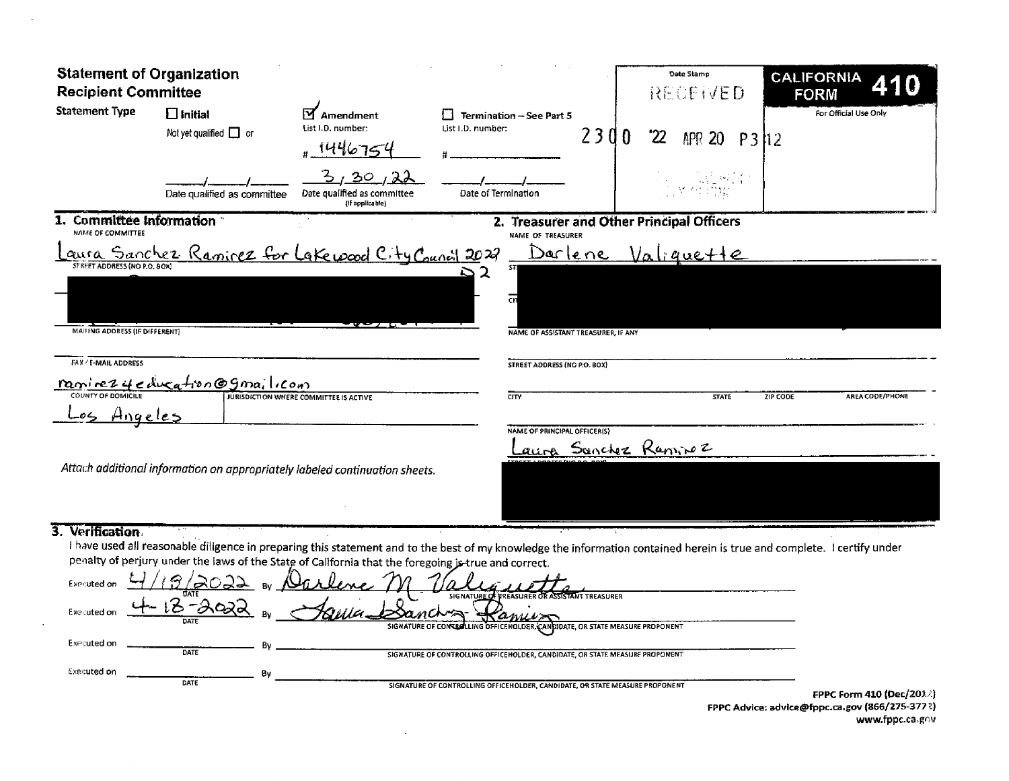| <b>Statement of Organization</b><br><b>Recipient Committee</b> |                                                                                                     |                                                      |                                                                                                                                                                         | Date Stamp<br>RECEIVED                    | <b>CALIFORNIA</b><br><b>FORM</b>                                                  |
|----------------------------------------------------------------|-----------------------------------------------------------------------------------------------------|------------------------------------------------------|-------------------------------------------------------------------------------------------------------------------------------------------------------------------------|-------------------------------------------|-----------------------------------------------------------------------------------|
| <b>Statement Type</b>                                          | $\Box$ Initial<br>Not yet qualified $\Box$ or                                                       | <b>Amendment</b><br>List I.D. number:<br>1446754     | Termination - See Part 5<br>List I.D. number:                                                                                                                           | 2300<br>22<br>APR 20 P312                 | For Official Use Only                                                             |
|                                                                | Date qualified as committee                                                                         | 20<br>Date qualified as committee<br>{If applicable} | Date of Termination                                                                                                                                                     |                                           |                                                                                   |
| 1. Committee Information<br>NAME OF COMMITTEE                  |                                                                                                     |                                                      | NAME OF TREASURER                                                                                                                                                       | 2. Treasurer and Other Principal Officers |                                                                                   |
|                                                                | <u>aura Sanchez Ramirez for lakewood City Council 2022</u>                                          |                                                      |                                                                                                                                                                         | <u>Darlene Valiquette</u>                 |                                                                                   |
| STREET ADDRESS (NO P.O. BOX)                                   |                                                                                                     |                                                      |                                                                                                                                                                         |                                           |                                                                                   |
| MAILING ADDRESS (IF DIFFERENT)                                 |                                                                                                     |                                                      | NAME OF ASSISTANT TREASURER, IF ANY                                                                                                                                     |                                           |                                                                                   |
| FAX / E-MAIL ADDRESS                                           |                                                                                                     |                                                      | STREET ADDRESS (NO P.O. BOX)                                                                                                                                            |                                           |                                                                                   |
|                                                                | <u>ranirez y e ducation @ gma; leon</u>                                                             |                                                      | $\overline{\text{CIV}}$                                                                                                                                                 | <b>STATE</b>                              | ZIP CODE<br>AREA CODE/PHONE                                                       |
| Angeles                                                        |                                                                                                     |                                                      |                                                                                                                                                                         |                                           |                                                                                   |
|                                                                |                                                                                                     |                                                      | <b>NAME OF PRINCIPAL OFFICER(S)</b>                                                                                                                                     | aura Sonchez Raminez                      |                                                                                   |
|                                                                | Attach additional information on appropriately labeled continuation sheets.                         |                                                      |                                                                                                                                                                         |                                           |                                                                                   |
|                                                                |                                                                                                     |                                                      |                                                                                                                                                                         |                                           |                                                                                   |
| 3. Verification                                                | penalty of perjury under the laws of the State of California that the foregoing jetrue and correct. |                                                      | I have used all reasonable diligence in preparing this statement and to the best of my knowledge the information contained herein is true and complete. I certify under |                                           |                                                                                   |
| <b>Executed on</b>                                             |                                                                                                     |                                                      |                                                                                                                                                                         |                                           |                                                                                   |
| Executed on                                                    | 5022                                                                                                |                                                      | SIGNATURE OF TREASURER OR ASSISTANT TREASURER<br>SIGNATURE OF CONTROLLING OFFICE HOLDER CANDIDATE, OR STATE MEASURE PROPONENT                                           |                                           |                                                                                   |
| Executed on                                                    | DATE                                                                                                |                                                      | SIGNATURE OF CONTROLLING OFFICEHOLDER, CANDIDATE, OR STATE MEASURE PROPONENT                                                                                            |                                           |                                                                                   |
| <b>Executed on</b>                                             | Bv                                                                                                  |                                                      |                                                                                                                                                                         |                                           |                                                                                   |
|                                                                | DATE                                                                                                |                                                      | SIGNATURE OF CONTROLLING OFFICEHOLDER, CANDIDATE, OR STATE MEASURE PROPONENT                                                                                            |                                           | <b>FPPC Form 410 (Dec/203.4)</b><br>rone Advisor odvice@fane.co.com/966/375-2772) |

 $\sim$   $\sim$ 

 $\sim 10$ 

FPPC Advice: advice@fppc.ca.gov (866/275-377?)<br>www.fppc.ca.gov